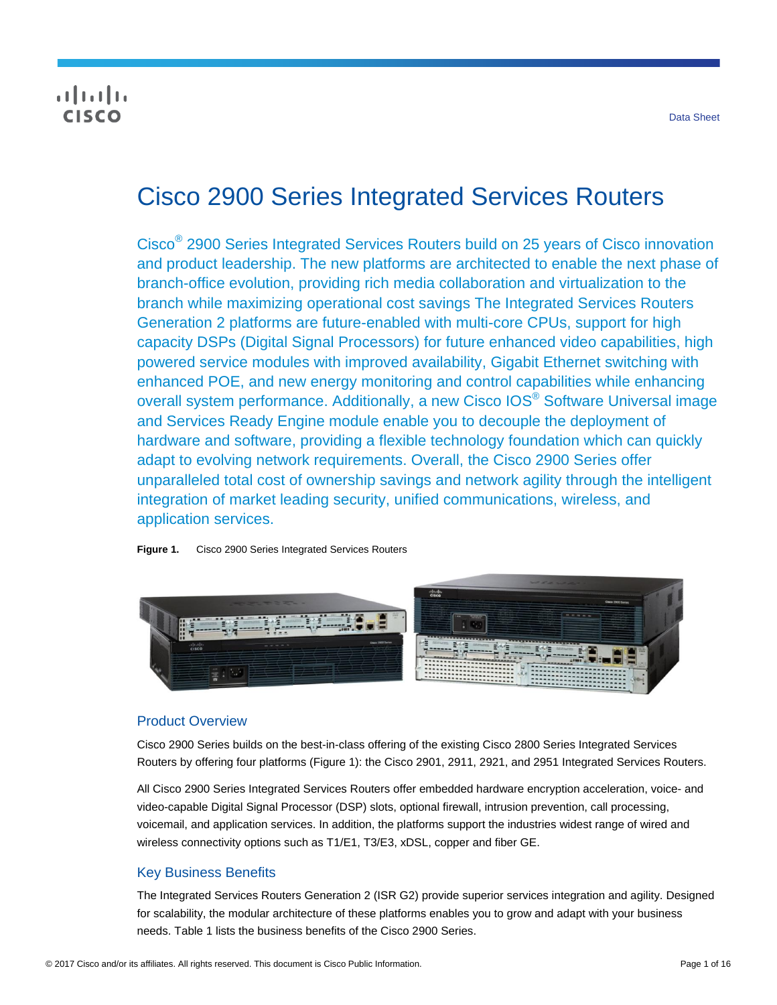## $\frac{1}{2}$ **CISCO**

# Cisco 2900 Series Integrated Services Routers

Cisco® 2900 Series Integrated Services Routers build on 25 years of Cisco innovation and product leadership. The new platforms are architected to enable the next phase of branch-office evolution, providing rich media collaboration and virtualization to the branch while maximizing operational cost savings The Integrated Services Routers Generation 2 platforms are future-enabled with multi-core CPUs, support for high capacity DSPs (Digital Signal Processors) for future enhanced video capabilities, high powered service modules with improved availability, Gigabit Ethernet switching with enhanced POE, and new energy monitoring and control capabilities while enhancing overall system performance. Additionally, a new Cisco IOS<sup>®</sup> Software Universal image and Services Ready Engine module enable you to decouple the deployment of hardware and software, providing a flexible technology foundation which can quickly adapt to evolving network requirements. Overall, the Cisco 2900 Series offer unparalleled total cost of ownership savings and network agility through the intelligent integration of market leading security, unified communications, wireless, and application services.

**Figure 1.** Cisco 2900 Series Integrated Services Routers



## Product Overview

Cisco 2900 Series builds on the best-in-class offering of the existing Cisco 2800 Series Integrated Services Routers by offering four platforms (Figure 1): the Cisco 2901, 2911, 2921, and 2951 Integrated Services Routers.

All Cisco 2900 Series Integrated Services Routers offer embedded hardware encryption acceleration, voice- and video-capable Digital Signal Processor (DSP) slots, optional firewall, intrusion prevention, call processing, voicemail, and application services. In addition, the platforms support the industries widest range of wired and wireless connectivity options such as T1/E1, T3/E3, xDSL, copper and fiber GE.

## Key Business Benefits

The Integrated Services Routers Generation 2 (ISR G2) provide superior services integration and agility. Designed for scalability, the modular architecture of these platforms enables you to grow and adapt with your business needs. Table 1 lists the business benefits of the Cisco 2900 Series.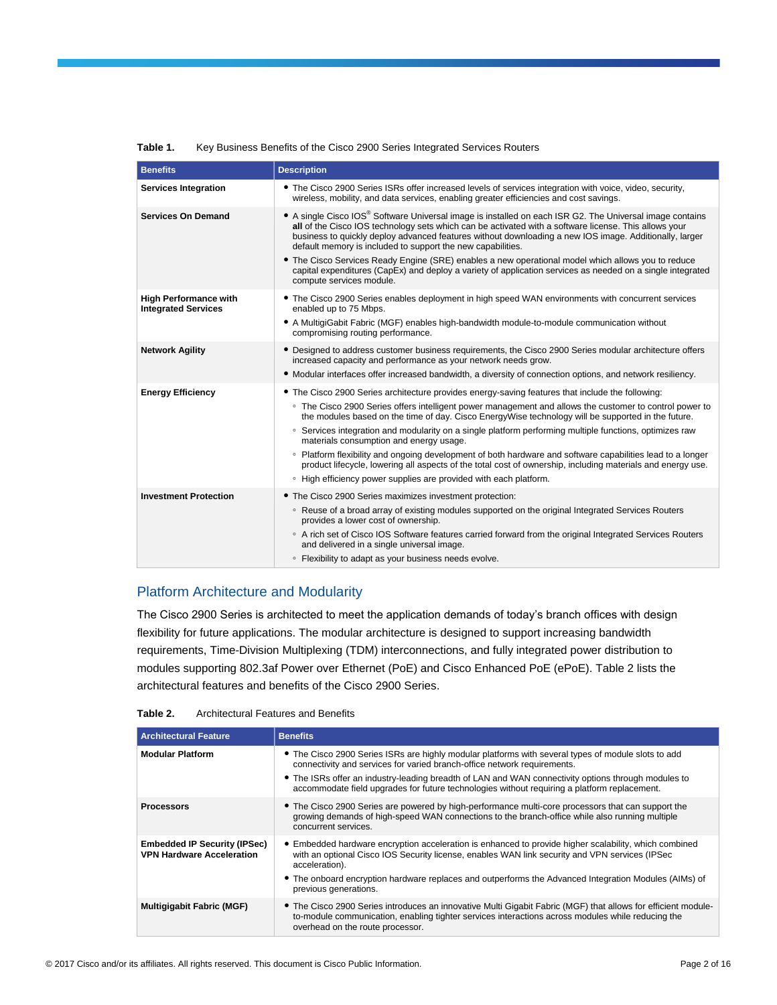| <b>Benefits</b>                                            | <b>Description</b>                                                                                                                                                                                                                                                                                                                                                                                                                                                                               |
|------------------------------------------------------------|--------------------------------------------------------------------------------------------------------------------------------------------------------------------------------------------------------------------------------------------------------------------------------------------------------------------------------------------------------------------------------------------------------------------------------------------------------------------------------------------------|
| <b>Services Integration</b>                                | • The Cisco 2900 Series ISRs offer increased levels of services integration with voice, video, security,<br>wireless, mobility, and data services, enabling greater efficiencies and cost savings.                                                                                                                                                                                                                                                                                               |
| <b>Services On Demand</b>                                  | • A single Cisco IOS® Software Universal image is installed on each ISR G2. The Universal image contains<br>all of the Cisco IOS technology sets which can be activated with a software license. This allows your<br>business to quickly deploy advanced features without downloading a new IOS image. Additionally, larger<br>default memory is included to support the new capabilities.<br>• The Cisco Services Ready Engine (SRE) enables a new operational model which allows you to reduce |
|                                                            | capital expenditures (CapEx) and deploy a variety of application services as needed on a single integrated<br>compute services module.                                                                                                                                                                                                                                                                                                                                                           |
| <b>High Performance with</b><br><b>Integrated Services</b> | • The Cisco 2900 Series enables deployment in high speed WAN environments with concurrent services<br>enabled up to 75 Mbps.                                                                                                                                                                                                                                                                                                                                                                     |
|                                                            | • A MultigiGabit Fabric (MGF) enables high-bandwidth module-to-module communication without<br>compromising routing performance.                                                                                                                                                                                                                                                                                                                                                                 |
| <b>Network Agility</b>                                     | • Designed to address customer business requirements, the Cisco 2900 Series modular architecture offers<br>increased capacity and performance as your network needs grow.                                                                                                                                                                                                                                                                                                                        |
|                                                            | • Modular interfaces offer increased bandwidth, a diversity of connection options, and network resiliency.                                                                                                                                                                                                                                                                                                                                                                                       |
| <b>Energy Efficiency</b>                                   | • The Cisco 2900 Series architecture provides energy-saving features that include the following:                                                                                                                                                                                                                                                                                                                                                                                                 |
|                                                            | • The Cisco 2900 Series offers intelligent power management and allows the customer to control power to                                                                                                                                                                                                                                                                                                                                                                                          |
|                                                            | the modules based on the time of day. Cisco EnergyWise technology will be supported in the future.<br>○ Services integration and modularity on a single platform performing multiple functions, optimizes raw<br>materials consumption and energy usage.                                                                                                                                                                                                                                         |
|                                                            | ∘ Platform flexibility and ongoing development of both hardware and software capabilities lead to a longer<br>product lifecycle, lowering all aspects of the total cost of ownership, including materials and energy use.                                                                                                                                                                                                                                                                        |
|                                                            | • High efficiency power supplies are provided with each platform.                                                                                                                                                                                                                                                                                                                                                                                                                                |
| <b>Investment Protection</b>                               | • The Cisco 2900 Series maximizes investment protection:                                                                                                                                                                                                                                                                                                                                                                                                                                         |
|                                                            | ○ Reuse of a broad array of existing modules supported on the original Integrated Services Routers<br>provides a lower cost of ownership.                                                                                                                                                                                                                                                                                                                                                        |
|                                                            | ○ A rich set of Cisco IOS Software features carried forward from the original Integrated Services Routers<br>and delivered in a single universal image.                                                                                                                                                                                                                                                                                                                                          |
|                                                            | • Flexibility to adapt as your business needs evolve.                                                                                                                                                                                                                                                                                                                                                                                                                                            |

#### **Table 1.** Key Business Benefits of the Cisco 2900 Series Integrated Services Routers

## Platform Architecture and Modularity

The Cisco 2900 Series is architected to meet the application demands of today's branch offices with design flexibility for future applications. The modular architecture is designed to support increasing bandwidth requirements, Time-Division Multiplexing (TDM) interconnections, and fully integrated power distribution to modules supporting 802.3af Power over Ethernet (PoE) and Cisco Enhanced PoE (ePoE). Table 2 lists the architectural features and benefits of the Cisco 2900 Series.

| <b>Architectural Features and Benefits</b><br>Table 2. |
|--------------------------------------------------------|
|                                                        |

| <b>Architectural Feature</b>                                            | <b>Benefits</b>                                                                                                                                                                                                                                                                                                                                             |
|-------------------------------------------------------------------------|-------------------------------------------------------------------------------------------------------------------------------------------------------------------------------------------------------------------------------------------------------------------------------------------------------------------------------------------------------------|
| <b>Modular Platform</b>                                                 | • The Cisco 2900 Series ISRs are highly modular platforms with several types of module slots to add<br>connectivity and services for varied branch-office network requirements.                                                                                                                                                                             |
|                                                                         | • The ISRs offer an industry-leading breadth of LAN and WAN connectivity options through modules to<br>accommodate field upgrades for future technologies without requiring a platform replacement.                                                                                                                                                         |
| <b>Processors</b>                                                       | • The Cisco 2900 Series are powered by high-performance multi-core processors that can support the<br>growing demands of high-speed WAN connections to the branch-office while also running multiple<br>concurrent services.                                                                                                                                |
| <b>Embedded IP Security (IPSec)</b><br><b>VPN Hardware Acceleration</b> | • Embedded hardware encryption acceleration is enhanced to provide higher scalability, which combined<br>with an optional Cisco IOS Security license, enables WAN link security and VPN services (IPSec<br>acceleration).<br>• The onboard encryption hardware replaces and outperforms the Advanced Integration Modules (AIMs) of<br>previous generations. |
| <b>Multigigabit Fabric (MGF)</b>                                        | • The Cisco 2900 Series introduces an innovative Multi Gigabit Fabric (MGF) that allows for efficient module-<br>to-module communication, enabling tighter services interactions across modules while reducing the<br>overhead on the route processor.                                                                                                      |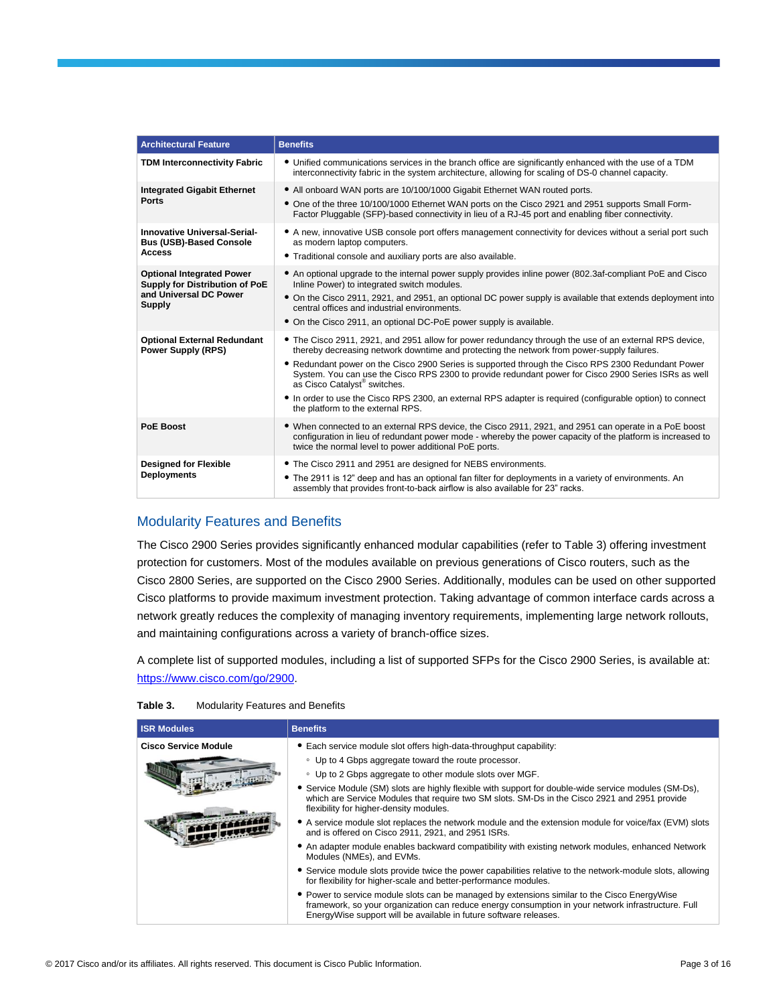| <b>Architectural Feature</b>                                                                           | <b>Benefits</b>                                                                                                                                                                                                                                                                                                                                                                                                                                                                                                                                                                                                   |  |  |
|--------------------------------------------------------------------------------------------------------|-------------------------------------------------------------------------------------------------------------------------------------------------------------------------------------------------------------------------------------------------------------------------------------------------------------------------------------------------------------------------------------------------------------------------------------------------------------------------------------------------------------------------------------------------------------------------------------------------------------------|--|--|
| <b>TDM Interconnectivity Fabric</b>                                                                    | • Unified communications services in the branch office are significantly enhanced with the use of a TDM<br>interconnectivity fabric in the system architecture, allowing for scaling of DS-0 channel capacity.                                                                                                                                                                                                                                                                                                                                                                                                    |  |  |
| <b>Integrated Gigabit Ethernet</b><br><b>Ports</b>                                                     | • All onboard WAN ports are 10/100/1000 Gigabit Ethernet WAN routed ports.<br>• One of the three 10/100/1000 Ethernet WAN ports on the Cisco 2921 and 2951 supports Small Form-<br>Factor Pluggable (SFP)-based connectivity in lieu of a RJ-45 port and enabling fiber connectivity.                                                                                                                                                                                                                                                                                                                             |  |  |
| Innovative Universal-Serial-<br><b>Bus (USB)-Based Console</b><br><b>Access</b>                        | • A new, innovative USB console port offers management connectivity for devices without a serial port such<br>as modern laptop computers.<br>. Traditional console and auxiliary ports are also available.                                                                                                                                                                                                                                                                                                                                                                                                        |  |  |
| <b>Optional Integrated Power</b><br>Supply for Distribution of PoE<br>and Universal DC Power<br>Supply | • An optional upgrade to the internal power supply provides inline power (802.3af-compliant PoE and Cisco<br>Inline Power) to integrated switch modules.<br>• On the Cisco 2911, 2921, and 2951, an optional DC power supply is available that extends deployment into<br>central offices and industrial environments.<br>• On the Cisco 2911, an optional DC-PoE power supply is available.                                                                                                                                                                                                                      |  |  |
| <b>Optional External Redundant</b><br><b>Power Supply (RPS)</b>                                        | • The Cisco 2911, 2921, and 2951 allow for power redundancy through the use of an external RPS device,<br>thereby decreasing network downtime and protecting the network from power-supply failures.<br>• Redundant power on the Cisco 2900 Series is supported through the Cisco RPS 2300 Redundant Power<br>System. You can use the Cisco RPS 2300 to provide redundant power for Cisco 2900 Series ISRs as well<br>as Cisco Catalyst <sup>®</sup> switches.<br>• In order to use the Cisco RPS 2300, an external RPS adapter is required (configurable option) to connect<br>the platform to the external RPS. |  |  |
| <b>PoE Boost</b>                                                                                       | • When connected to an external RPS device, the Cisco 2911, 2921, and 2951 can operate in a PoE boost<br>configuration in lieu of redundant power mode - whereby the power capacity of the platform is increased to<br>twice the normal level to power additional PoE ports.                                                                                                                                                                                                                                                                                                                                      |  |  |
| <b>Designed for Flexible</b><br><b>Deployments</b>                                                     | • The Cisco 2911 and 2951 are designed for NEBS environments.<br>• The 2911 is 12" deep and has an optional fan filter for deployments in a variety of environments. An<br>assembly that provides front-to-back airflow is also available for 23" racks.                                                                                                                                                                                                                                                                                                                                                          |  |  |

## Modularity Features and Benefits

The Cisco 2900 Series provides significantly enhanced modular capabilities (refer to Table 3) offering investment protection for customers. Most of the modules available on previous generations of Cisco routers, such as the Cisco 2800 Series, are supported on the Cisco 2900 Series. Additionally, modules can be used on other supported Cisco platforms to provide maximum investment protection. Taking advantage of common interface cards across a network greatly reduces the complexity of managing inventory requirements, implementing large network rollouts, and maintaining configurations across a variety of branch-office sizes.

A complete list of supported modules, including a list of supported SFPs for the Cisco 2900 Series, is available at: [https://www.cisco.com/go/2900.](https://www.cisco.com/go/2900)

| Table 3. | <b>Modularity Features and Benefits</b> |
|----------|-----------------------------------------|
|----------|-----------------------------------------|

| <b>ISR Modules</b>          | <b>Benefits</b>                                                                                                                                                                                                                                                          |  |  |
|-----------------------------|--------------------------------------------------------------------------------------------------------------------------------------------------------------------------------------------------------------------------------------------------------------------------|--|--|
| <b>Cisco Service Module</b> | • Each service module slot offers high-data-throughput capability:                                                                                                                                                                                                       |  |  |
|                             | • Up to 4 Gbps aggregate toward the route processor.                                                                                                                                                                                                                     |  |  |
|                             | • Up to 2 Gbps aggregate to other module slots over MGF.                                                                                                                                                                                                                 |  |  |
|                             | • Service Module (SM) slots are highly flexible with support for double-wide service modules (SM-Ds),<br>which are Service Modules that require two SM slots. SM-Ds in the Cisco 2921 and 2951 provide<br>flexibility for higher-density modules.                        |  |  |
|                             | • A service module slot replaces the network module and the extension module for voice/fax (EVM) slots<br>and is offered on Cisco 2911, 2921, and 2951 ISRs.                                                                                                             |  |  |
|                             | • An adapter module enables backward compatibility with existing network modules, enhanced Network<br>Modules (NMEs), and EVMs.                                                                                                                                          |  |  |
|                             | • Service module slots provide twice the power capabilities relative to the network-module slots, allowing<br>for flexibility for higher-scale and better-performance modules.                                                                                           |  |  |
|                             | • Power to service module slots can be managed by extensions similar to the Cisco Energy Wise<br>framework, so your organization can reduce energy consumption in your network infrastructure. Full<br>EnergyWise support will be available in future software releases. |  |  |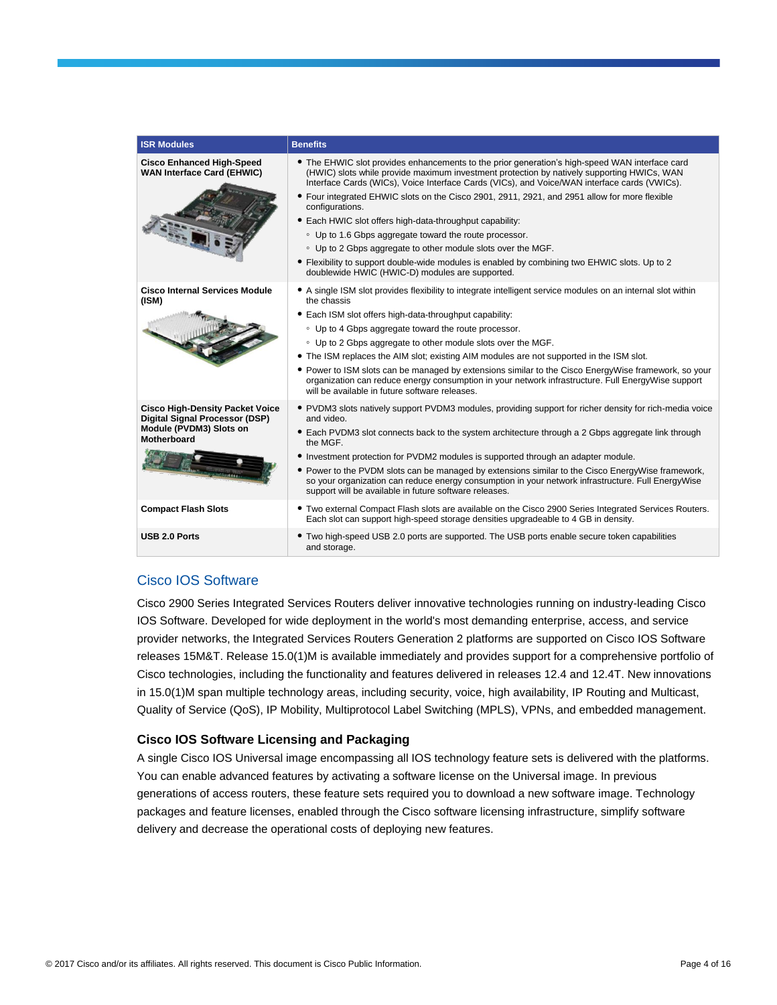| <b>ISR Modules</b>                                                                                                 | <b>Benefits</b>                                                                                                                                                                                                                                                                                                                                                                                                                                                                                                                                                                                                                                                             |
|--------------------------------------------------------------------------------------------------------------------|-----------------------------------------------------------------------------------------------------------------------------------------------------------------------------------------------------------------------------------------------------------------------------------------------------------------------------------------------------------------------------------------------------------------------------------------------------------------------------------------------------------------------------------------------------------------------------------------------------------------------------------------------------------------------------|
| <b>Cisco Enhanced High-Speed</b><br><b>WAN Interface Card (EHWIC)</b>                                              | • The EHWIC slot provides enhancements to the prior generation's high-speed WAN interface card<br>(HWIC) slots while provide maximum investment protection by natively supporting HWICs, WAN<br>Interface Cards (WICs), Voice Interface Cards (VICs), and Voice/WAN interface cards (VWICs).<br>• Four integrated EHWIC slots on the Cisco 2901, 2911, 2921, and 2951 allow for more flexible                                                                                                                                                                                                                                                                               |
|                                                                                                                    | configurations.<br>• Each HWIC slot offers high-data-throughput capability:<br>• Up to 1.6 Gbps aggregate toward the route processor.<br>• Up to 2 Gbps aggregate to other module slots over the MGF.<br>• Flexibility to support double-wide modules is enabled by combining two EHWIC slots. Up to 2<br>doublewide HWIC (HWIC-D) modules are supported.                                                                                                                                                                                                                                                                                                                   |
| <b>Cisco Internal Services Module</b><br>(ISM)                                                                     | • A single ISM slot provides flexibility to integrate intelligent service modules on an internal slot within<br>the chassis<br>• Each ISM slot offers high-data-throughput capability:<br>• Up to 4 Gbps aggregate toward the route processor.<br>• Up to 2 Gbps aggregate to other module slots over the MGF.<br>• The ISM replaces the AIM slot; existing AIM modules are not supported in the ISM slot.<br>• Power to ISM slots can be managed by extensions similar to the Cisco EnergyWise framework, so your<br>organization can reduce energy consumption in your network infrastructure. Full Energy Wise support<br>will be available in future software releases. |
| <b>Cisco High-Density Packet Voice</b><br>Digital Signal Processor (DSP)<br>Module (PVDM3) Slots on<br>Motherboard | • PVDM3 slots natively support PVDM3 modules, providing support for richer density for rich-media voice<br>and video.<br>• Each PVDM3 slot connects back to the system architecture through a 2 Gbps aggregate link through<br>the MGF.<br>• Investment protection for PVDM2 modules is supported through an adapter module.<br>• Power to the PVDM slots can be managed by extensions similar to the Cisco EnergyWise framework,<br>so your organization can reduce energy consumption in your network infrastructure. Full Energy Wise<br>support will be available in future software releases.                                                                          |
| <b>Compact Flash Slots</b>                                                                                         | • Two external Compact Flash slots are available on the Cisco 2900 Series Integrated Services Routers.<br>Each slot can support high-speed storage densities upgradeable to 4 GB in density.                                                                                                                                                                                                                                                                                                                                                                                                                                                                                |
| USB 2.0 Ports                                                                                                      | • Two high-speed USB 2.0 ports are supported. The USB ports enable secure token capabilities<br>and storage.                                                                                                                                                                                                                                                                                                                                                                                                                                                                                                                                                                |

## Cisco IOS Software

Cisco 2900 Series Integrated Services Routers deliver innovative technologies running on industry-leading Cisco IOS Software. Developed for wide deployment in the world's most demanding enterprise, access, and service provider networks, the Integrated Services Routers Generation 2 platforms are supported on Cisco IOS Software releases 15M&T. Release 15.0(1)M is available immediately and provides support for a comprehensive portfolio of Cisco technologies, including the functionality and features delivered in releases 12.4 and 12.4T. New innovations in 15.0(1)M span multiple technology areas, including security, voice, high availability, IP Routing and Multicast, Quality of Service (QoS), IP Mobility, Multiprotocol Label Switching (MPLS), VPNs, and embedded management.

## **Cisco IOS Software Licensing and Packaging**

A single Cisco IOS Universal image encompassing all IOS technology feature sets is delivered with the platforms. You can enable advanced features by activating a software license on the Universal image. In previous generations of access routers, these feature sets required you to download a new software image. Technology packages and feature licenses, enabled through the Cisco software licensing infrastructure, simplify software delivery and decrease the operational costs of deploying new features.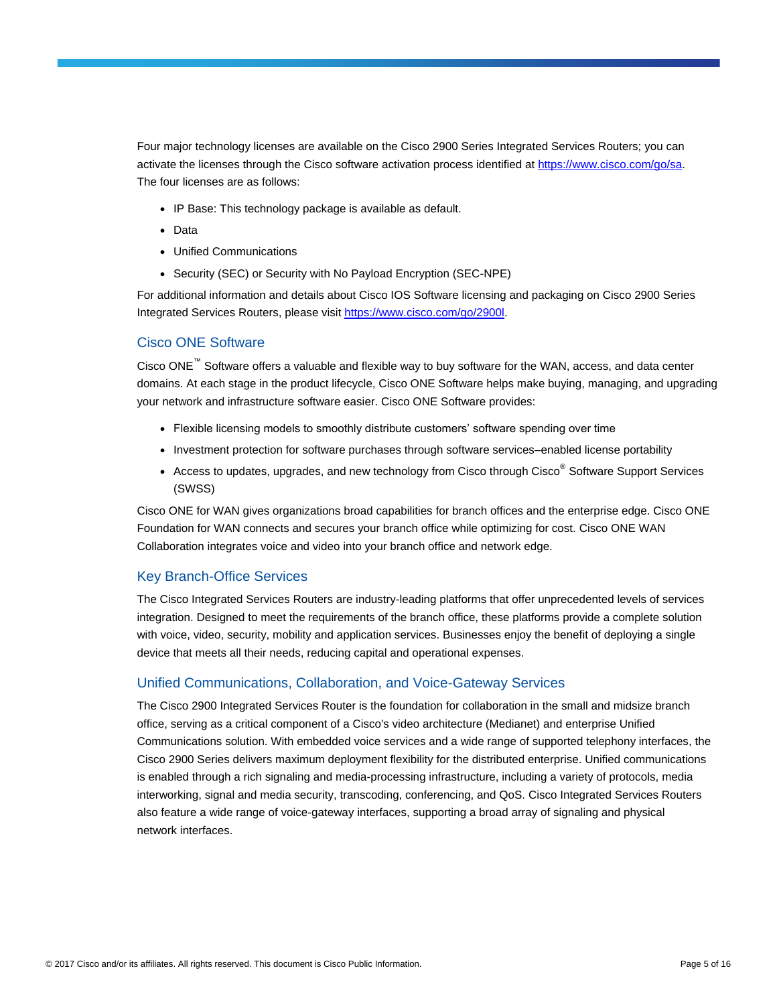Four major technology licenses are available on the Cisco 2900 Series Integrated Services Routers; you can activate the licenses through the Cisco software activation process identified at [https://www.cisco.com/go/sa.](https://www.cisco.com/go/sa) The four licenses are as follows:

- IP Base: This technology package is available as default.
- Data
- Unified Communications
- Security (SEC) or Security with No Payload Encryption (SEC-NPE)

For additional information and details about Cisco IOS Software licensing and packaging on Cisco 2900 Series Integrated Services Routers, please visi[t https://www.cisco.com/go/2900l.](https://www.cisco.com/go/2900l)

## Cisco ONE Software

Cisco ONE™ Software offers a valuable and flexible way to buy software for the WAN, access, and data center domains. At each stage in the product lifecycle, Cisco ONE Software helps make buying, managing, and upgrading your network and infrastructure software easier. Cisco ONE Software provides:

- Flexible licensing models to smoothly distribute customers' software spending over time
- Investment protection for software purchases through software services–enabled license portability
- Access to updates, upgrades, and new technology from Cisco through Cisco<sup>®</sup> Software Support Services (SWSS)

Cisco ONE for WAN gives organizations broad capabilities for branch offices and the enterprise edge. Cisco ONE Foundation for WAN connects and secures your branch office while optimizing for cost. Cisco ONE WAN Collaboration integrates voice and video into your branch office and network edge.

## Key Branch-Office Services

The Cisco Integrated Services Routers are industry-leading platforms that offer unprecedented levels of services integration. Designed to meet the requirements of the branch office, these platforms provide a complete solution with voice, video, security, mobility and application services. Businesses enjoy the benefit of deploying a single device that meets all their needs, reducing capital and operational expenses.

## Unified Communications, Collaboration, and Voice-Gateway Services

The Cisco 2900 Integrated Services Router is the foundation for collaboration in the small and midsize branch office, serving as a critical component of a Cisco's video architecture (Medianet) and enterprise Unified Communications solution. With embedded voice services and a wide range of supported telephony interfaces, the Cisco 2900 Series delivers maximum deployment flexibility for the distributed enterprise. Unified communications is enabled through a rich signaling and media-processing infrastructure, including a variety of protocols, media interworking, signal and media security, transcoding, conferencing, and QoS. Cisco Integrated Services Routers also feature a wide range of voice-gateway interfaces, supporting a broad array of signaling and physical network interfaces.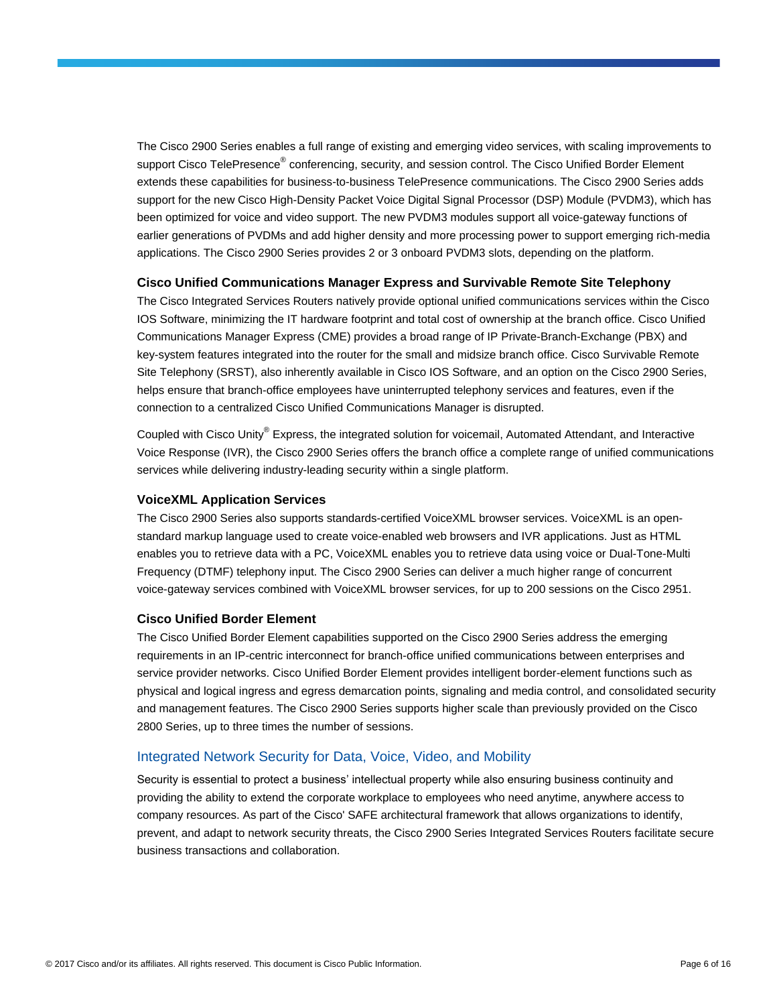The Cisco 2900 Series enables a full range of existing and emerging video services, with scaling improvements to support Cisco TelePresence® conferencing, security, and session control. The Cisco Unified Border Element extends these capabilities for business-to-business TelePresence communications. The Cisco 2900 Series adds support for the new Cisco High-Density Packet Voice Digital Signal Processor (DSP) Module (PVDM3), which has been optimized for voice and video support. The new PVDM3 modules support all voice-gateway functions of earlier generations of PVDMs and add higher density and more processing power to support emerging rich-media applications. The Cisco 2900 Series provides 2 or 3 onboard PVDM3 slots, depending on the platform.

#### **Cisco Unified Communications Manager Express and Survivable Remote Site Telephony**

The Cisco Integrated Services Routers natively provide optional unified communications services within the Cisco IOS Software, minimizing the IT hardware footprint and total cost of ownership at the branch office. Cisco Unified Communications Manager Express (CME) provides a broad range of IP Private-Branch-Exchange (PBX) and key-system features integrated into the router for the small and midsize branch office. Cisco Survivable Remote Site Telephony (SRST), also inherently available in Cisco IOS Software, and an option on the Cisco 2900 Series, helps ensure that branch-office employees have uninterrupted telephony services and features, even if the connection to a centralized Cisco Unified Communications Manager is disrupted.

Coupled with Cisco Unity® Express, the integrated solution for voicemail, Automated Attendant, and Interactive Voice Response (IVR), the Cisco 2900 Series offers the branch office a complete range of unified communications services while delivering industry-leading security within a single platform.

#### **VoiceXML Application Services**

The Cisco 2900 Series also supports standards-certified VoiceXML browser services. VoiceXML is an openstandard markup language used to create voice-enabled web browsers and IVR applications. Just as HTML enables you to retrieve data with a PC, VoiceXML enables you to retrieve data using voice or Dual-Tone-Multi Frequency (DTMF) telephony input. The Cisco 2900 Series can deliver a much higher range of concurrent voice-gateway services combined with VoiceXML browser services, for up to 200 sessions on the Cisco 2951.

#### **Cisco Unified Border Element**

The Cisco Unified Border Element capabilities supported on the Cisco 2900 Series address the emerging requirements in an IP-centric interconnect for branch-office unified communications between enterprises and service provider networks. Cisco Unified Border Element provides intelligent border-element functions such as physical and logical ingress and egress demarcation points, signaling and media control, and consolidated security and management features. The Cisco 2900 Series supports higher scale than previously provided on the Cisco 2800 Series, up to three times the number of sessions.

## Integrated Network Security for Data, Voice, Video, and Mobility

Security is essential to protect a business' intellectual property while also ensuring business continuity and providing the ability to extend the corporate workplace to employees who need anytime, anywhere access to company resources. As part of the Cisco' SAFE architectural framework that allows organizations to identify, prevent, and adapt to network security threats, the Cisco 2900 Series Integrated Services Routers facilitate secure business transactions and collaboration.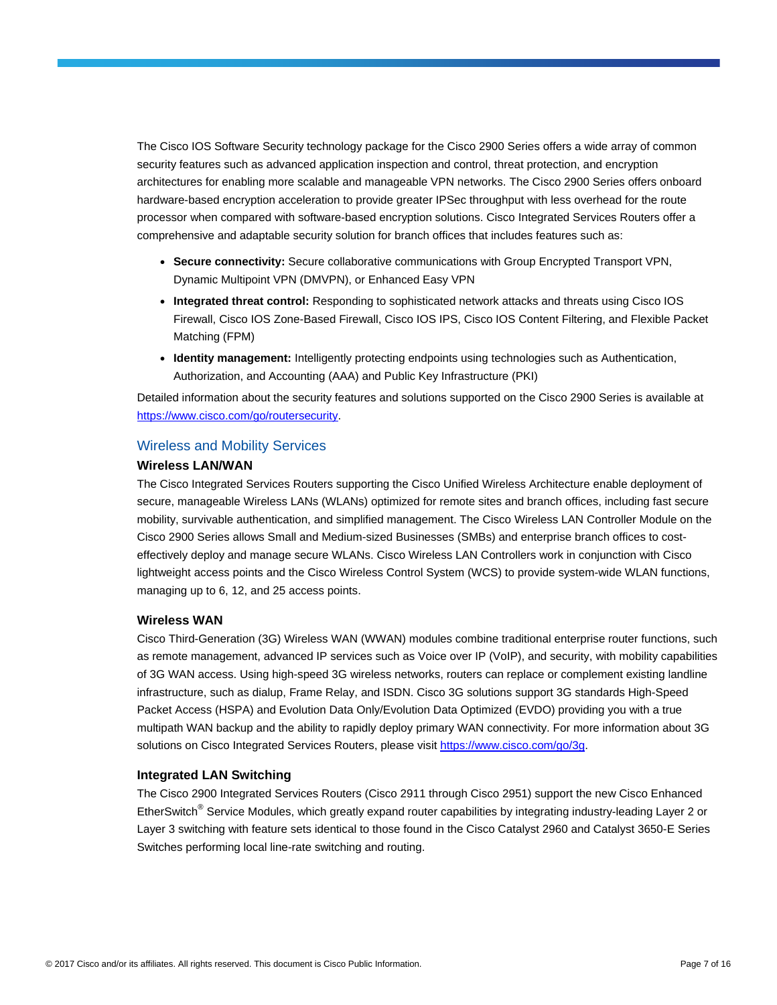The Cisco IOS Software Security technology package for the Cisco 2900 Series offers a wide array of common security features such as advanced application inspection and control, threat protection, and encryption architectures for enabling more scalable and manageable VPN networks. The Cisco 2900 Series offers onboard hardware-based encryption acceleration to provide greater IPSec throughput with less overhead for the route processor when compared with software-based encryption solutions. Cisco Integrated Services Routers offer a comprehensive and adaptable security solution for branch offices that includes features such as:

- **Secure connectivity:** Secure collaborative communications with Group Encrypted Transport VPN, Dynamic Multipoint VPN (DMVPN), or Enhanced Easy VPN
- **Integrated threat control:** Responding to sophisticated network attacks and threats using Cisco IOS Firewall, Cisco IOS Zone-Based Firewall, Cisco IOS IPS, Cisco IOS Content Filtering, and Flexible Packet Matching (FPM)
- **Identity management:** Intelligently protecting endpoints using technologies such as Authentication, Authorization, and Accounting (AAA) and Public Key Infrastructure (PKI)

Detailed information about the security features and solutions supported on the Cisco 2900 Series is available at [https://www.cisco.com/go/routersecurity.](https://www.cisco.com/go/routersecurity)

#### Wireless and Mobility Services

#### **Wireless LAN/WAN**

The Cisco Integrated Services Routers supporting the Cisco Unified Wireless Architecture enable deployment of secure, manageable Wireless LANs (WLANs) optimized for remote sites and branch offices, including fast secure mobility, survivable authentication, and simplified management. The Cisco Wireless LAN Controller Module on the Cisco 2900 Series allows Small and Medium-sized Businesses (SMBs) and enterprise branch offices to costeffectively deploy and manage secure WLANs. Cisco Wireless LAN Controllers work in conjunction with Cisco lightweight access points and the Cisco Wireless Control System (WCS) to provide system-wide WLAN functions, managing up to 6, 12, and 25 access points.

#### **Wireless WAN**

Cisco Third-Generation (3G) Wireless WAN (WWAN) modules combine traditional enterprise router functions, such as remote management, advanced IP services such as Voice over IP (VoIP), and security, with mobility capabilities of 3G WAN access. Using high-speed 3G wireless networks, routers can replace or complement existing landline infrastructure, such as dialup, Frame Relay, and ISDN. Cisco 3G solutions support 3G standards High-Speed Packet Access (HSPA) and Evolution Data Only/Evolution Data Optimized (EVDO) providing you with a true multipath WAN backup and the ability to rapidly deploy primary WAN connectivity. For more information about 3G solutions on Cisco Integrated Services Routers, please visit [https://www.cisco.com/go/3g.](https://www.cisco.com/go/3g)

#### **Integrated LAN Switching**

The Cisco 2900 Integrated Services Routers (Cisco 2911 through Cisco 2951) support the new Cisco Enhanced EtherSwitch<sup>®</sup> Service Modules, which greatly expand router capabilities by integrating industry-leading Layer 2 or Layer 3 switching with feature sets identical to those found in the Cisco Catalyst 2960 and Catalyst 3650-E Series Switches performing local line-rate switching and routing.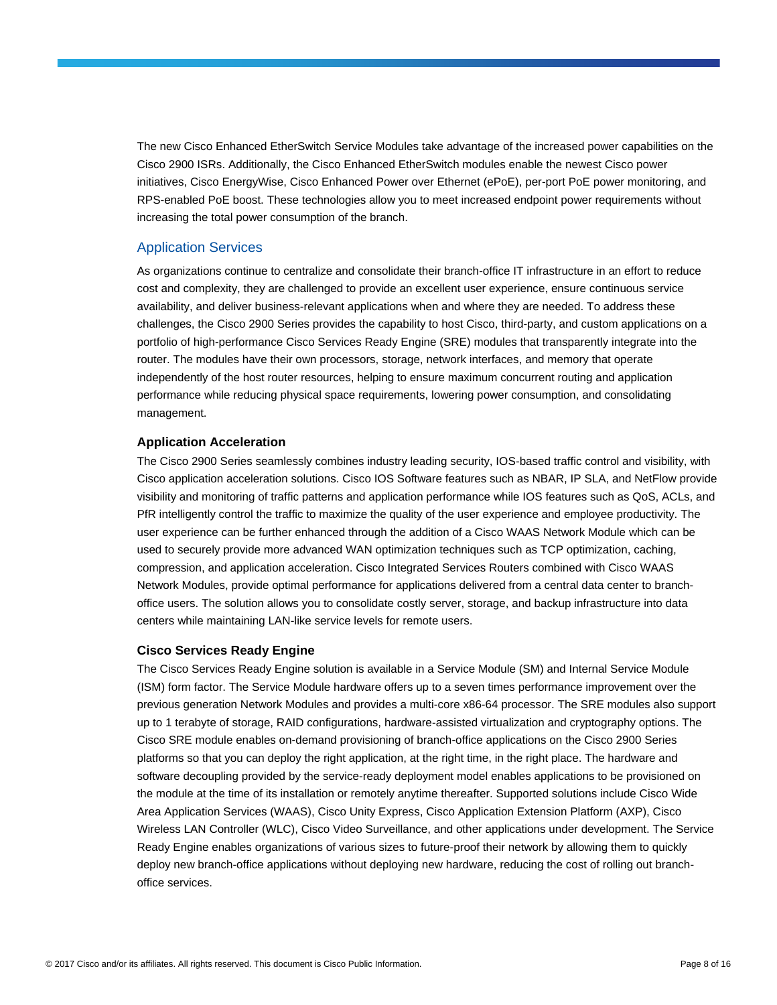The new Cisco Enhanced EtherSwitch Service Modules take advantage of the increased power capabilities on the Cisco 2900 ISRs. Additionally, the Cisco Enhanced EtherSwitch modules enable the newest Cisco power initiatives, Cisco EnergyWise, Cisco Enhanced Power over Ethernet (ePoE), per-port PoE power monitoring, and RPS-enabled PoE boost. These technologies allow you to meet increased endpoint power requirements without increasing the total power consumption of the branch.

## Application Services

As organizations continue to centralize and consolidate their branch-office IT infrastructure in an effort to reduce cost and complexity, they are challenged to provide an excellent user experience, ensure continuous service availability, and deliver business-relevant applications when and where they are needed. To address these challenges, the Cisco 2900 Series provides the capability to host Cisco, third-party, and custom applications on a portfolio of high-performance Cisco Services Ready Engine (SRE) modules that transparently integrate into the router. The modules have their own processors, storage, network interfaces, and memory that operate independently of the host router resources, helping to ensure maximum concurrent routing and application performance while reducing physical space requirements, lowering power consumption, and consolidating management.

#### **Application Acceleration**

The Cisco 2900 Series seamlessly combines industry leading security, IOS-based traffic control and visibility, with Cisco application acceleration solutions. Cisco IOS Software features such as NBAR, IP SLA, and NetFlow provide visibility and monitoring of traffic patterns and application performance while IOS features such as QoS, ACLs, and PfR intelligently control the traffic to maximize the quality of the user experience and employee productivity. The user experience can be further enhanced through the addition of a Cisco WAAS Network Module which can be used to securely provide more advanced WAN optimization techniques such as TCP optimization, caching, compression, and application acceleration. Cisco Integrated Services Routers combined with Cisco WAAS Network Modules, provide optimal performance for applications delivered from a central data center to branchoffice users. The solution allows you to consolidate costly server, storage, and backup infrastructure into data centers while maintaining LAN-like service levels for remote users.

#### **Cisco Services Ready Engine**

The Cisco Services Ready Engine solution is available in a Service Module (SM) and Internal Service Module (ISM) form factor. The Service Module hardware offers up to a seven times performance improvement over the previous generation Network Modules and provides a multi-core x86-64 processor. The SRE modules also support up to 1 terabyte of storage, RAID configurations, hardware-assisted virtualization and cryptography options. The Cisco SRE module enables on-demand provisioning of branch-office applications on the Cisco 2900 Series platforms so that you can deploy the right application, at the right time, in the right place. The hardware and software decoupling provided by the service-ready deployment model enables applications to be provisioned on the module at the time of its installation or remotely anytime thereafter. Supported solutions include Cisco Wide Area Application Services (WAAS), Cisco Unity Express, Cisco Application Extension Platform (AXP), Cisco Wireless LAN Controller (WLC), Cisco Video Surveillance, and other applications under development. The Service Ready Engine enables organizations of various sizes to future-proof their network by allowing them to quickly deploy new branch-office applications without deploying new hardware, reducing the cost of rolling out branchoffice services.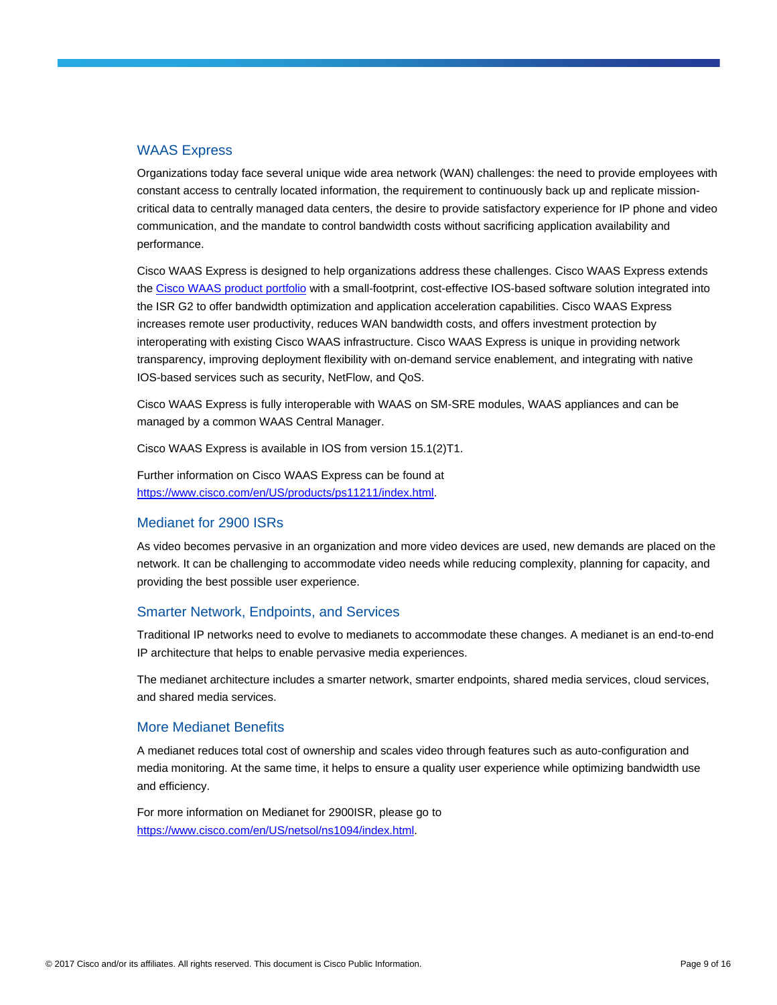## WAAS Express

Organizations today face several unique wide area network (WAN) challenges: the need to provide employees with constant access to centrally located information, the requirement to continuously back up and replicate missioncritical data to centrally managed data centers, the desire to provide satisfactory experience for IP phone and video communication, and the mandate to control bandwidth costs without sacrificing application availability and performance.

Cisco WAAS Express is designed to help organizations address these challenges. Cisco WAAS Express extends the [Cisco WAAS product portfolio](https://www.cisco.com/en/US/products/ps5680/Products_Sub_Category_Home.html) with a small-footprint, cost-effective IOS-based software solution integrated into the ISR G2 to offer bandwidth optimization and application acceleration capabilities. Cisco WAAS Express increases remote user productivity, reduces WAN bandwidth costs, and offers investment protection by interoperating with existing Cisco WAAS infrastructure. Cisco WAAS Express is unique in providing network transparency, improving deployment flexibility with on-demand service enablement, and integrating with native IOS-based services such as security, NetFlow, and QoS.

Cisco WAAS Express is fully interoperable with WAAS on SM-SRE modules, WAAS appliances and can be managed by a common WAAS Central Manager.

Cisco WAAS Express is available in IOS from version 15.1(2)T1.

Further information on Cisco WAAS Express can be found at [https://www.cisco.com/en/US/products/ps11211/index.html.](https://www.cisco.com/en/US/products/ps11211/index.html)

## Medianet for 2900 ISRs

As video becomes pervasive in an organization and more video devices are used, new demands are placed on the network. It can be challenging to accommodate video needs while reducing complexity, planning for capacity, and providing the best possible user experience.

## Smarter Network, Endpoints, and Services

Traditional IP networks need to evolve to medianets to accommodate these changes. A medianet is an end-to-end IP architecture that helps to enable pervasive media experiences.

The medianet architecture includes a smarter network, smarter endpoints, shared media services, cloud services, and shared media services.

#### More Medianet Benefits

A medianet reduces total cost of ownership and scales video through features such as auto-configuration and media monitoring. At the same time, it helps to ensure a quality user experience while optimizing bandwidth use and efficiency.

For more information on Medianet for 2900ISR, please go to [https://www.cisco.com/en/US/netsol/ns1094/index.html.](https://www.cisco.com/en/US/netsol/ns1094/index.html)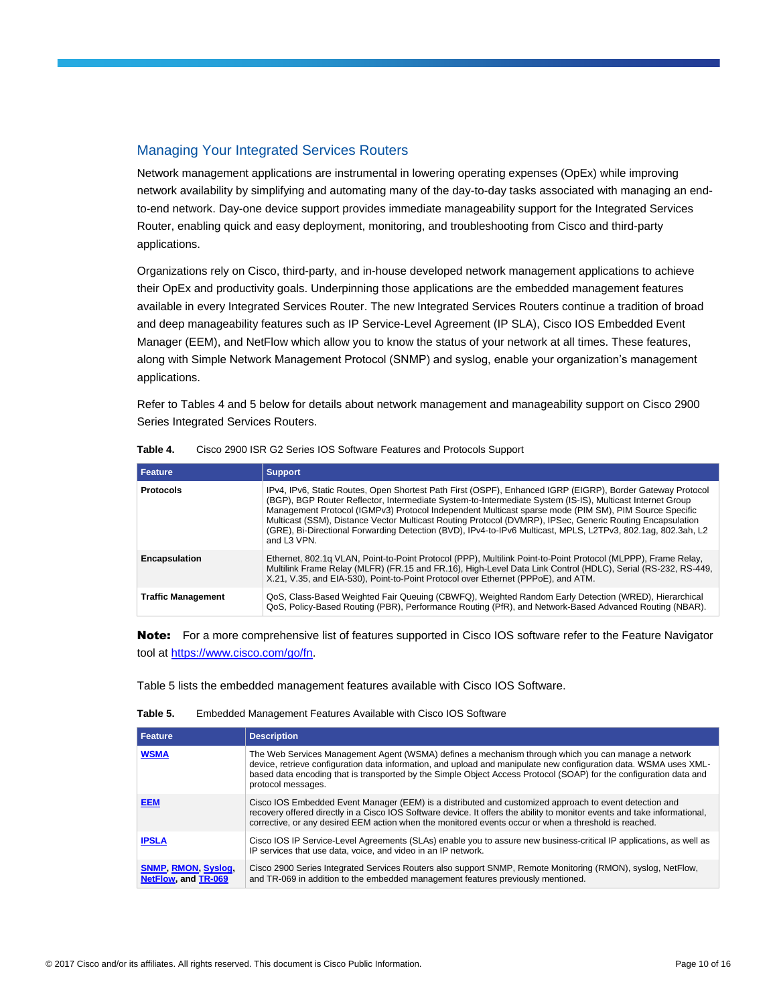## Managing Your Integrated Services Routers

Network management applications are instrumental in lowering operating expenses (OpEx) while improving network availability by simplifying and automating many of the day-to-day tasks associated with managing an endto-end network. Day-one device support provides immediate manageability support for the Integrated Services Router, enabling quick and easy deployment, monitoring, and troubleshooting from Cisco and third-party applications.

Organizations rely on Cisco, third-party, and in-house developed network management applications to achieve their OpEx and productivity goals. Underpinning those applications are the embedded management features available in every Integrated Services Router. The new Integrated Services Routers continue a tradition of broad and deep manageability features such as IP Service-Level Agreement (IP SLA), Cisco IOS Embedded Event Manager (EEM), and NetFlow which allow you to know the status of your network at all times. These features, along with Simple Network Management Protocol (SNMP) and syslog, enable your organization's management applications.

Refer to Tables 4 and 5 below for details about network management and manageability support on Cisco 2900 Series Integrated Services Routers.

| Feature                   | Support                                                                                                                                                                                                                                                                                                                                                                                                                                                                                                                                                                      |  |
|---------------------------|------------------------------------------------------------------------------------------------------------------------------------------------------------------------------------------------------------------------------------------------------------------------------------------------------------------------------------------------------------------------------------------------------------------------------------------------------------------------------------------------------------------------------------------------------------------------------|--|
| <b>Protocols</b>          | IPv4. IPv6. Static Routes. Open Shortest Path First (OSPF). Enhanced IGRP (EIGRP). Border Gateway Protocol<br>(BGP), BGP Router Reflector, Intermediate System-to-Intermediate System (IS-IS), Multicast Internet Group<br>Management Protocol (IGMPv3) Protocol Independent Multicast sparse mode (PIM SM), PIM Source Specific<br>Multicast (SSM), Distance Vector Multicast Routing Protocol (DVMRP), IPSec, Generic Routing Encapsulation<br>(GRE), Bi-Directional Forwarding Detection (BVD), IPv4-to-IPv6 Multicast, MPLS, L2TPv3, 802.1ag, 802.3ah, L2<br>and L3 VPN. |  |
| <b>Encapsulation</b>      | Ethernet, 802.1q VLAN, Point-to-Point Protocol (PPP), Multilink Point-to-Point Protocol (MLPPP), Frame Relay,<br>Multilink Frame Relay (MLFR) (FR.15 and FR.16), High-Level Data Link Control (HDLC), Serial (RS-232, RS-449,<br>X.21, V.35, and EIA-530), Point-to-Point Protocol over Ethernet (PPPoE), and ATM.                                                                                                                                                                                                                                                           |  |
| <b>Traffic Management</b> | QoS, Class-Based Weighted Fair Queuing (CBWFQ), Weighted Random Early Detection (WRED), Hierarchical<br>QoS, Policy-Based Routing (PBR), Performance Routing (PfR), and Network-Based Advanced Routing (NBAR).                                                                                                                                                                                                                                                                                                                                                               |  |

| Table 4. |  | Cisco 2900 ISR G2 Series IOS Software Features and Protocols Support |
|----------|--|----------------------------------------------------------------------|
|          |  |                                                                      |

Note: For a more comprehensive list of features supported in Cisco IOS software refer to the Feature Navigator tool at [https://www.cisco.com/go/fn.](https://www.cisco.com/go/fn)

Table 5 lists the embedded management features available with Cisco IOS Software.

| Feature                                           | <b>Description</b>                                                                                                                                                                                                                                                                                                                                                   |
|---------------------------------------------------|----------------------------------------------------------------------------------------------------------------------------------------------------------------------------------------------------------------------------------------------------------------------------------------------------------------------------------------------------------------------|
| <b>WSMA</b>                                       | The Web Services Management Agent (WSMA) defines a mechanism through which you can manage a network<br>device, retrieve configuration data information, and upload and manipulate new configuration data. WSMA uses XML-<br>based data encoding that is transported by the Simple Object Access Protocol (SOAP) for the configuration data and<br>protocol messages. |
| <b>EEM</b>                                        | Cisco IOS Embedded Event Manager (EEM) is a distributed and customized approach to event detection and<br>recovery offered directly in a Cisco IOS Software device. It offers the ability to monitor events and take informational,<br>corrective, or any desired EEM action when the monitored events occur or when a threshold is reached.                         |
| <b>IPSLA</b>                                      | Cisco IOS IP Service-Level Agreements (SLAs) enable you to assure new business-critical IP applications, as well as<br>IP services that use data, voice, and video in an IP network.                                                                                                                                                                                 |
| <b>SNMP, RMON, Syslog,</b><br>NetFlow, and TR-069 | Cisco 2900 Series Integrated Services Routers also support SNMP, Remote Monitoring (RMON), syslog, NetFlow,<br>and TR-069 in addition to the embedded management features previously mentioned.                                                                                                                                                                      |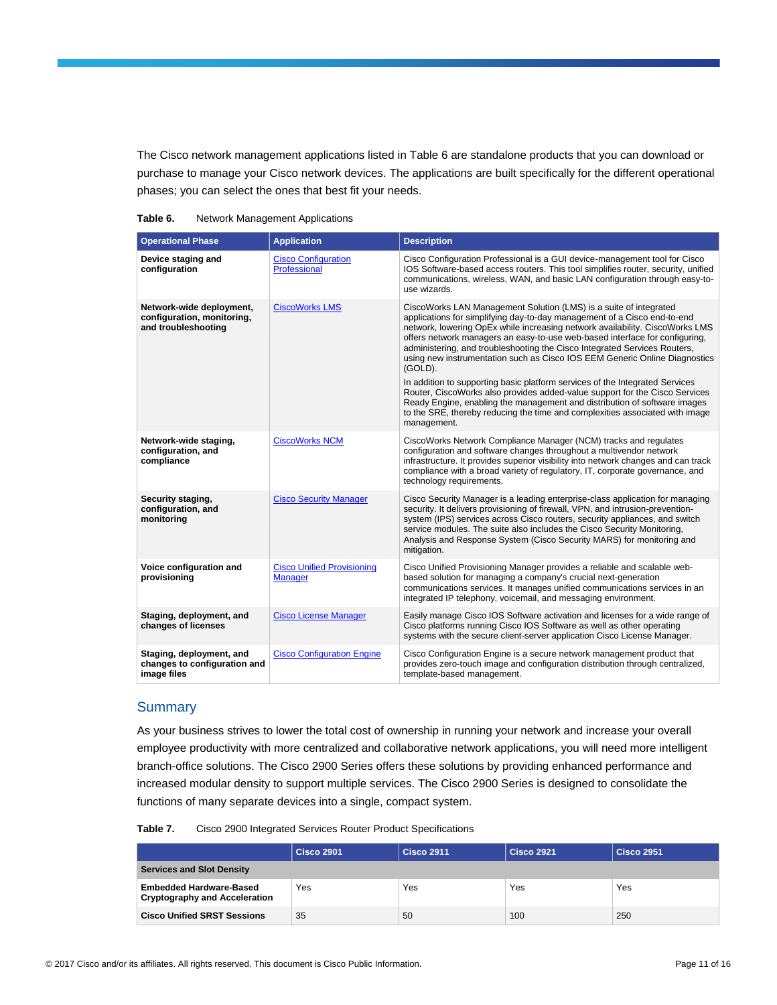The Cisco network management applications listed in Table 6 are standalone products that you can download or purchase to manage your Cisco network devices. The applications are built specifically for the different operational phases; you can select the ones that best fit your needs.

|  | Table 6. | <b>Network Management Applications</b> |
|--|----------|----------------------------------------|
|--|----------|----------------------------------------|

| <b>Operational Phase</b>                                                      | <b>Application</b>                                  | <b>Description</b>                                                                                                                                                                                                                                                                                                                                                                                                                                                                                                                                                                                                                                                                                                                                                                                                            |
|-------------------------------------------------------------------------------|-----------------------------------------------------|-------------------------------------------------------------------------------------------------------------------------------------------------------------------------------------------------------------------------------------------------------------------------------------------------------------------------------------------------------------------------------------------------------------------------------------------------------------------------------------------------------------------------------------------------------------------------------------------------------------------------------------------------------------------------------------------------------------------------------------------------------------------------------------------------------------------------------|
| Device staging and<br>configuration                                           | <b>Cisco Configuration</b><br>Professional          | Cisco Configuration Professional is a GUI device-management tool for Cisco<br>IOS Software-based access routers. This tool simplifies router, security, unified<br>communications, wireless, WAN, and basic LAN configuration through easy-to-<br>use wizards.                                                                                                                                                                                                                                                                                                                                                                                                                                                                                                                                                                |
| Network-wide deployment,<br>configuration, monitoring,<br>and troubleshooting | <b>CiscoWorks LMS</b>                               | CiscoWorks LAN Management Solution (LMS) is a suite of integrated<br>applications for simplifying day-to-day management of a Cisco end-to-end<br>network, lowering OpEx while increasing network availability. CiscoWorks LMS<br>offers network managers an easy-to-use web-based interface for configuring,<br>administering, and troubleshooting the Cisco Integrated Services Routers,<br>using new instrumentation such as Cisco IOS EEM Generic Online Diagnostics<br>(GOLD).<br>In addition to supporting basic platform services of the Integrated Services<br>Router, CiscoWorks also provides added-value support for the Cisco Services<br>Ready Engine, enabling the management and distribution of software images<br>to the SRE, thereby reducing the time and complexities associated with image<br>management. |
| Network-wide staging,<br>configuration, and<br>compliance                     | <b>CiscoWorks NCM</b>                               | CiscoWorks Network Compliance Manager (NCM) tracks and regulates<br>configuration and software changes throughout a multivendor network<br>infrastructure. It provides superior visibility into network changes and can track<br>compliance with a broad variety of regulatory, IT, corporate governance, and<br>technology requirements.                                                                                                                                                                                                                                                                                                                                                                                                                                                                                     |
| Security staging,<br>configuration, and<br>monitoring                         | <b>Cisco Security Manager</b>                       | Cisco Security Manager is a leading enterprise-class application for managing<br>security. It delivers provisioning of firewall, VPN, and intrusion-prevention-<br>system (IPS) services across Cisco routers, security appliances, and switch<br>service modules. The suite also includes the Cisco Security Monitoring,<br>Analysis and Response System (Cisco Security MARS) for monitoring and<br>mitigation.                                                                                                                                                                                                                                                                                                                                                                                                             |
| Voice configuration and<br>provisioning                                       | <b>Cisco Unified Provisioning</b><br><b>Manager</b> | Cisco Unified Provisioning Manager provides a reliable and scalable web-<br>based solution for managing a company's crucial next-generation<br>communications services. It manages unified communications services in an<br>integrated IP telephony, voicemail, and messaging environment.                                                                                                                                                                                                                                                                                                                                                                                                                                                                                                                                    |
| Staging, deployment, and<br>changes of licenses                               | <b>Cisco License Manager</b>                        | Easily manage Cisco IOS Software activation and licenses for a wide range of<br>Cisco platforms running Cisco IOS Software as well as other operating<br>systems with the secure client-server application Cisco License Manager.                                                                                                                                                                                                                                                                                                                                                                                                                                                                                                                                                                                             |
| Staging, deployment, and<br>changes to configuration and<br>image files       | <b>Cisco Configuration Engine</b>                   | Cisco Configuration Engine is a secure network management product that<br>provides zero-touch image and configuration distribution through centralized,<br>template-based management.                                                                                                                                                                                                                                                                                                                                                                                                                                                                                                                                                                                                                                         |

## **Summary**

As your business strives to lower the total cost of ownership in running your network and increase your overall employee productivity with more centralized and collaborative network applications, you will need more intelligent branch-office solutions. The Cisco 2900 Series offers these solutions by providing enhanced performance and increased modular density to support multiple services. The Cisco 2900 Series is designed to consolidate the functions of many separate devices into a single, compact system.

| Table 7. | Cisco 2900 Integrated Services Router Product Specifications |  |
|----------|--------------------------------------------------------------|--|
|----------|--------------------------------------------------------------|--|

|                                                                        | <b>Cisco 2901</b> | <b>Cisco 2911</b> | <b>Cisco 2921</b> | <b>Cisco 2951</b> |
|------------------------------------------------------------------------|-------------------|-------------------|-------------------|-------------------|
| <b>Services and Slot Density</b>                                       |                   |                   |                   |                   |
| <b>Embedded Hardware-Based</b><br><b>Cryptography and Acceleration</b> | Yes               | Yes               | Yes               | Yes               |
| <b>Cisco Unified SRST Sessions</b>                                     | 35                | 50                | 100               | 250               |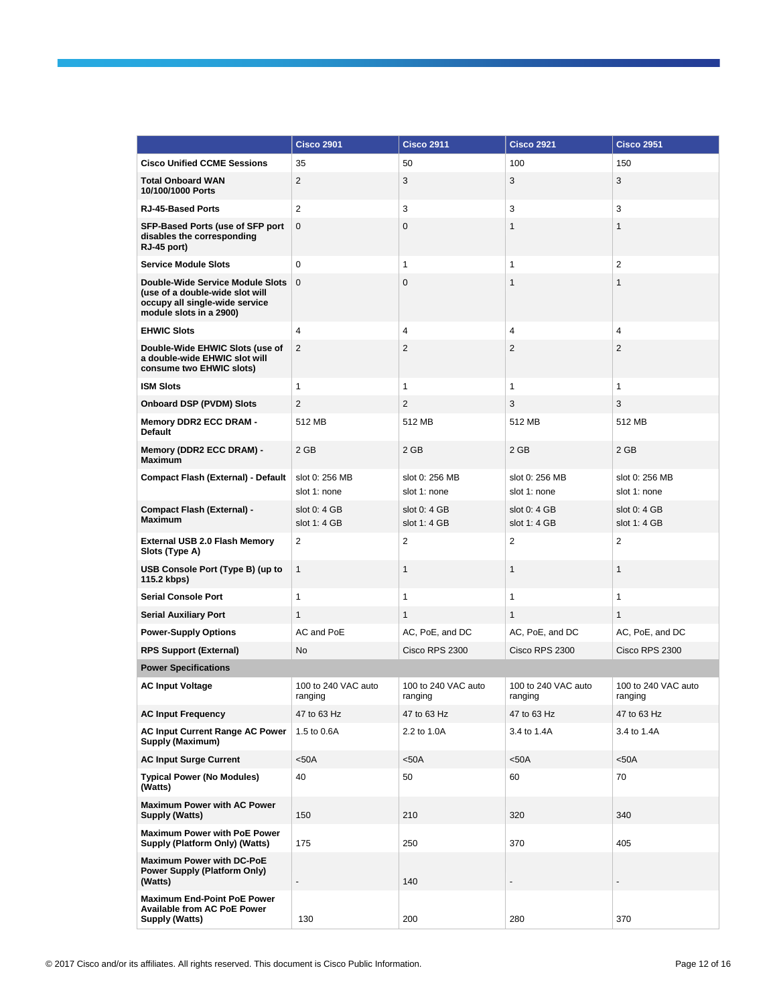|                                                                                                                                  | <b>Cisco 2901</b>              | <b>Cisco 2911</b>              | <b>Cisco 2921</b>              | <b>Cisco 2951</b>              |
|----------------------------------------------------------------------------------------------------------------------------------|--------------------------------|--------------------------------|--------------------------------|--------------------------------|
| <b>Cisco Unified CCME Sessions</b>                                                                                               | 35                             | 50                             | 100                            | 150                            |
| <b>Total Onboard WAN</b><br>10/100/1000 Ports                                                                                    | 2                              | 3                              | 3                              | 3                              |
| <b>RJ-45-Based Ports</b>                                                                                                         | 2                              | 3                              | 3                              | 3                              |
| SFP-Based Ports (use of SFP port<br>disables the corresponding<br>RJ-45 port)                                                    | 0                              | $\mathbf 0$                    | $\mathbf{1}$                   | $\mathbf{1}$                   |
| <b>Service Module Slots</b>                                                                                                      | $\mathbf 0$                    | 1                              | 1                              | 2                              |
| Double-Wide Service Module Slots<br>(use of a double-wide slot will<br>occupy all single-wide service<br>module slots in a 2900) | $\mathbf{0}$                   | $\mathbf 0$                    | $\mathbf{1}$                   | $\mathbf{1}$                   |
| <b>EHWIC Slots</b>                                                                                                               | $\overline{4}$                 | 4                              | 4                              | 4                              |
| Double-Wide EHWIC Slots (use of<br>a double-wide EHWIC slot will<br>consume two EHWIC slots)                                     | 2                              | 2                              | 2                              | 2                              |
| <b>ISM Slots</b>                                                                                                                 | $\mathbf{1}$                   | 1                              | $\mathbf{1}$                   | $\mathbf{1}$                   |
| <b>Onboard DSP (PVDM) Slots</b>                                                                                                  | 2                              | 2                              | 3                              | 3                              |
| <b>Memory DDR2 ECC DRAM -</b><br><b>Default</b>                                                                                  | 512 MB                         | 512 MB                         | 512 MB                         | 512 MB                         |
| Memory (DDR2 ECC DRAM) -<br><b>Maximum</b>                                                                                       | 2 GB                           | 2 GB                           | 2 GB                           | 2 GB                           |
| <b>Compact Flash (External) - Default</b>                                                                                        | slot 0: 256 MB<br>slot 1: none | slot 0: 256 MB<br>slot 1: none | slot 0: 256 MB<br>slot 1: none | slot 0: 256 MB<br>slot 1: none |
| Compact Flash (External) -<br><b>Maximum</b>                                                                                     | slot $0:4$ GB<br>slot 1: 4 GB  | slot $0:4$ GB<br>slot 1: 4 GB  | slot $0:4GB$<br>slot 1: 4 GB   | slot 0: 4 GB<br>slot 1: 4 GB   |
| <b>External USB 2.0 Flash Memory</b><br>Slots (Type A)                                                                           | 2                              | 2                              | 2                              | 2                              |
| USB Console Port (Type B) (up to<br>115.2 kbps)                                                                                  | $\mathbf{1}$                   | $\mathbf{1}$                   | $\mathbf{1}$                   | $\mathbf{1}$                   |
| <b>Serial Console Port</b>                                                                                                       | $\mathbf{1}$                   | $\mathbf{1}$                   | $\mathbf{1}$                   | 1                              |
| <b>Serial Auxiliary Port</b>                                                                                                     | $\mathbf{1}$                   | $\mathbf{1}$                   | 1                              | $\mathbf{1}$                   |
| <b>Power-Supply Options</b>                                                                                                      | AC and PoE                     | AC, PoE, and DC                | AC, PoE, and DC                | AC, PoE, and DC                |
| <b>RPS Support (External)</b>                                                                                                    | <b>No</b>                      | Cisco RPS 2300                 | Cisco RPS 2300                 | Cisco RPS 2300                 |
| <b>Power Specifications</b>                                                                                                      |                                |                                |                                |                                |
| <b>AC Input Voltage</b>                                                                                                          | 100 to 240 VAC auto<br>ranging | 100 to 240 VAC auto<br>ranging | 100 to 240 VAC auto<br>ranging | 100 to 240 VAC auto<br>ranging |
| <b>AC Input Frequency</b>                                                                                                        | 47 to 63 Hz                    | 47 to 63 Hz                    | 47 to 63 Hz                    | 47 to 63 Hz                    |
| <b>AC Input Current Range AC Power</b><br><b>Supply (Maximum)</b>                                                                | 1.5 to 0.6A                    | 2.2 to 1.0A                    | 3.4 to 1.4A                    | 3.4 to 1.4A                    |
| <b>AC Input Surge Current</b>                                                                                                    | $50A$                          | $50A$                          | $50A$                          | $50A$                          |
| <b>Typical Power (No Modules)</b><br>(Watts)                                                                                     | 40                             | 50                             | 60                             | 70                             |
| <b>Maximum Power with AC Power</b><br>Supply (Watts)                                                                             | 150                            | 210                            | 320                            | 340                            |
| <b>Maximum Power with PoE Power</b><br>Supply (Platform Only) (Watts)                                                            | 175                            | 250                            | 370                            | 405                            |
| <b>Maximum Power with DC-PoE</b><br><b>Power Supply (Platform Only)</b><br>(Watts)                                               | $\blacksquare$                 | 140                            | $\overline{a}$                 |                                |
| <b>Maximum End-Point PoE Power</b><br><b>Available from AC PoE Power</b><br>Supply (Watts)                                       | 130                            | 200                            | 280                            | 370                            |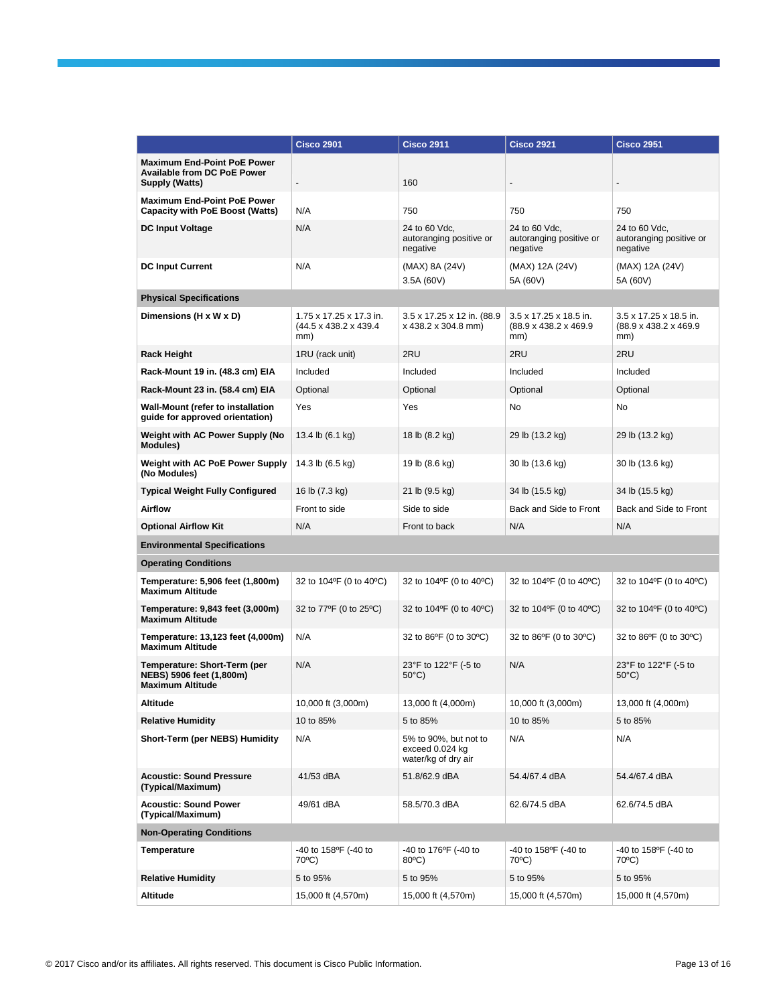|                                                                                            | <b>Cisco 2901</b>                                        | <b>Cisco 2911</b>                                               | <b>Cisco 2921</b>                                       | <b>Cisco 2951</b>                                       |
|--------------------------------------------------------------------------------------------|----------------------------------------------------------|-----------------------------------------------------------------|---------------------------------------------------------|---------------------------------------------------------|
| <b>Maximum End-Point PoE Power</b><br><b>Available from DC PoE Power</b><br>Supply (Watts) | $\overline{\phantom{a}}$                                 | 160                                                             |                                                         |                                                         |
| <b>Maximum End-Point PoE Power</b><br><b>Capacity with PoE Boost (Watts)</b>               | N/A                                                      | 750                                                             | 750                                                     | 750                                                     |
| <b>DC Input Voltage</b>                                                                    | N/A                                                      | 24 to 60 Vdc,<br>autoranging positive or<br>negative            | 24 to 60 Vdc,<br>autoranging positive or<br>negative    | 24 to 60 Vdc,<br>autoranging positive or<br>negative    |
| <b>DC Input Current</b>                                                                    | N/A                                                      | (MAX) 8A (24V)<br>3.5A (60V)                                    | (MAX) 12A (24V)<br>5A (60V)                             | (MAX) 12A (24V)<br>5A (60V)                             |
| <b>Physical Specifications</b>                                                             |                                                          |                                                                 |                                                         |                                                         |
| Dimensions (H x W x D)                                                                     | 1.75 x 17.25 x 17.3 in.<br>(44.5 x 438.2 x 439.4)<br>mm) | 3.5 x 17.25 x 12 in. (88.9<br>x 438.2 x 304.8 mm)               | 3.5 x 17.25 x 18.5 in.<br>(88.9 x 438.2 x 469.9)<br>mm) | 3.5 x 17.25 x 18.5 in.<br>(88.9 x 438.2 x 469.9)<br>mm) |
| <b>Rack Height</b>                                                                         | 1RU (rack unit)                                          | 2RU                                                             | 2RU                                                     | 2RU                                                     |
| Rack-Mount 19 in. (48.3 cm) EIA                                                            | Included                                                 | Included                                                        | Included                                                | Included                                                |
| Rack-Mount 23 in. (58.4 cm) EIA                                                            | Optional                                                 | Optional                                                        | Optional                                                | Optional                                                |
| Wall-Mount (refer to installation<br>quide for approved orientation)                       | Yes                                                      | Yes                                                             | No                                                      | No                                                      |
| Weight with AC Power Supply (No<br><b>Modules)</b>                                         | 13.4 lb (6.1 kg)                                         | 18 lb (8.2 kg)                                                  | 29 lb (13.2 kg)                                         | 29 lb (13.2 kg)                                         |
| Weight with AC PoE Power Supply<br>(No Modules)                                            | 14.3 lb (6.5 kg)                                         | 19 lb (8.6 kg)                                                  | 30 lb (13.6 kg)                                         | 30 lb (13.6 kg)                                         |
| <b>Typical Weight Fully Configured</b>                                                     | 16 lb (7.3 kg)                                           | 21 lb (9.5 kg)                                                  | 34 lb (15.5 kg)                                         | 34 lb (15.5 kg)                                         |
| Airflow                                                                                    | Front to side                                            | Side to side                                                    | Back and Side to Front                                  | Back and Side to Front                                  |
| <b>Optional Airflow Kit</b>                                                                | N/A                                                      | Front to back                                                   | N/A                                                     | N/A                                                     |
| <b>Environmental Specifications</b>                                                        |                                                          |                                                                 |                                                         |                                                         |
| <b>Operating Conditions</b>                                                                |                                                          |                                                                 |                                                         |                                                         |
| Temperature: 5,906 feet (1,800m)<br><b>Maximum Altitude</b>                                | 32 to 104°F (0 to 40°C)                                  | 32 to 104°F (0 to 40°C)                                         | 32 to 104°F (0 to 40°C)                                 | 32 to 104°F (0 to 40°C)                                 |
| Temperature: 9,843 feet (3,000m)<br><b>Maximum Altitude</b>                                | 32 to 77°F (0 to 25°C)                                   | 32 to 104°F (0 to 40°C)                                         | 32 to $104^{\circ}F$ (0 to $40^{\circ}C$ )              | 32 to 104°F (0 to 40°C)                                 |
| Temperature: 13,123 feet (4,000m)<br><b>Maximum Altitude</b>                               | N/A                                                      | 32 to 86°F (0 to 30°C)                                          | 32 to 86°F (0 to 30°C)                                  | 32 to 86°F (0 to 30°C)                                  |
| Temperature: Short-Term (per<br>NEBS) 5906 feet (1,800m)<br><b>Maximum Altitude</b>        | N/A                                                      | 23°F to 122°F (-5 to<br>$50^{\circ}$ C)                         | N/A                                                     | 23°F to 122°F (-5 to<br>$50^{\circ}$ C)                 |
| Altitude                                                                                   | 10,000 ft (3,000m)                                       | 13,000 ft (4,000m)                                              | 10,000 ft (3,000m)                                      | 13,000 ft (4,000m)                                      |
| <b>Relative Humidity</b>                                                                   | 10 to 85%                                                | 5 to 85%                                                        | 10 to 85%                                               | 5 to 85%                                                |
| Short-Term (per NEBS) Humidity                                                             | N/A                                                      | 5% to 90%, but not to<br>exceed 0.024 kg<br>water/kg of dry air | N/A                                                     | N/A                                                     |
| <b>Acoustic: Sound Pressure</b><br>(Typical/Maximum)                                       | 41/53 dBA                                                | 51.8/62.9 dBA                                                   | 54.4/67.4 dBA                                           | 54.4/67.4 dBA                                           |
| <b>Acoustic: Sound Power</b><br>(Typical/Maximum)                                          | 49/61 dBA                                                | 58.5/70.3 dBA                                                   | 62.6/74.5 dBA                                           | 62.6/74.5 dBA                                           |
| <b>Non-Operating Conditions</b>                                                            |                                                          |                                                                 |                                                         |                                                         |
| Temperature                                                                                | -40 to 158°F (-40 to<br>70°C)                            | -40 to 176°F (-40 to<br>80°C)                                   | -40 to 158°F (-40 to<br>70°C)                           | -40 to 158°F (-40 to<br>70°C)                           |
| <b>Relative Humidity</b>                                                                   | 5 to 95%                                                 | 5 to 95%                                                        | 5 to 95%                                                | 5 to 95%                                                |
| Altitude                                                                                   | 15,000 ft (4,570m)                                       | 15,000 ft (4,570m)                                              | 15,000 ft (4,570m)                                      | 15,000 ft (4,570m)                                      |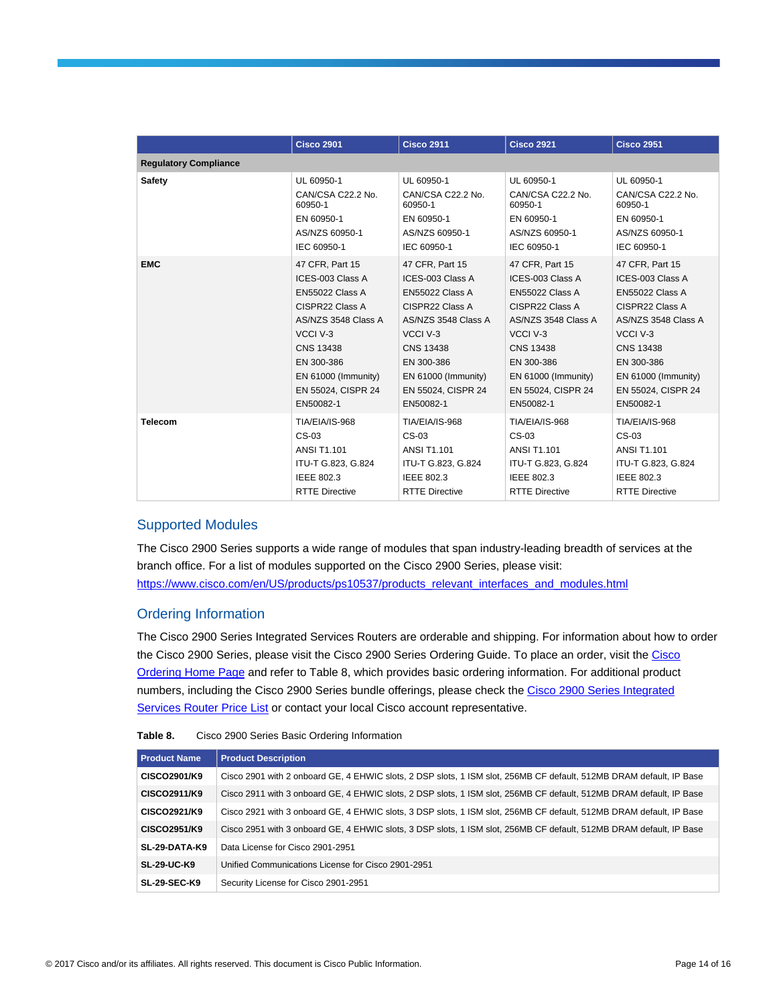|                              | <b>Cisco 2901</b>     | <b>Cisco 2911</b>      | <b>Cisco 2921</b>     | <b>Cisco 2951</b>     |
|------------------------------|-----------------------|------------------------|-----------------------|-----------------------|
| <b>Regulatory Compliance</b> |                       |                        |                       |                       |
| Safety                       | UL 60950-1            | UL 60950-1             | UL 60950-1            | UL 60950-1            |
|                              | CAN/CSA C22.2 No.     | CAN/CSA C22.2 No.      | CAN/CSA C22.2 No.     | CAN/CSA C22.2 No.     |
|                              | 60950-1               | 60950-1                | 60950-1               | 60950-1               |
|                              | EN 60950-1            | EN 60950-1             | EN 60950-1            | EN 60950-1            |
|                              | AS/NZS 60950-1        | AS/NZS 60950-1         | AS/NZS 60950-1        | AS/NZS 60950-1        |
|                              | IEC 60950-1           | IEC 60950-1            | IEC 60950-1           | IEC 60950-1           |
| <b>EMC</b>                   | 47 CFR, Part 15       | 47 CFR, Part 15        | 47 CFR, Part 15       | 47 CFR, Part 15       |
|                              | ICES-003 Class A      | ICES-003 Class A       | ICES-003 Class A      | ICES-003 Class A      |
|                              | EN55022 Class A       | <b>EN55022 Class A</b> | EN55022 Class A       | EN55022 Class A       |
|                              | CISPR22 Class A       | CISPR22 Class A        | CISPR22 Class A       | CISPR22 Class A       |
|                              | AS/NZS 3548 Class A   | AS/NZS 3548 Class A    | AS/NZS 3548 Class A   | AS/NZS 3548 Class A   |
|                              | VCCI V-3              | VCCI V-3               | VCCI V-3              | VCCI V-3              |
|                              | <b>CNS 13438</b>      | <b>CNS 13438</b>       | <b>CNS 13438</b>      | <b>CNS 13438</b>      |
|                              | EN 300-386            | EN 300-386             | EN 300-386            | EN 300-386            |
|                              | EN 61000 (Immunity)   | EN 61000 (Immunity)    | EN 61000 (Immunity)   | EN 61000 (Immunity)   |
|                              | EN 55024, CISPR 24    | EN 55024, CISPR 24     | EN 55024, CISPR 24    | EN 55024, CISPR 24    |
|                              | EN50082-1             | EN50082-1              | EN50082-1             | EN50082-1             |
| <b>Telecom</b>               | TIA/EIA/IS-968        | TIA/EIA/IS-968         | TIA/EIA/IS-968        | TIA/EIA/IS-968        |
|                              | CS-03                 | $CS-03$                | CS-03                 | $CS-03$               |
|                              | <b>ANSI T1.101</b>    | <b>ANSI T1.101</b>     | <b>ANSI T1.101</b>    | <b>ANSI T1.101</b>    |
|                              | ITU-T G.823, G.824    | ITU-T G.823, G.824     | ITU-T G.823, G.824    | ITU-T G.823, G.824    |
|                              | IEEE 802.3            | IEEE 802.3             | IEEE 802.3            | IEEE 802.3            |
|                              | <b>RTTE Directive</b> | <b>RTTE Directive</b>  | <b>RTTE Directive</b> | <b>RTTE Directive</b> |

## Supported Modules

The Cisco 2900 Series supports a wide range of modules that span industry-leading breadth of services at the branch office. For a list of modules supported on the Cisco 2900 Series, please visit: [https://www.cisco.com/en/US/products/ps10537/products\\_relevant\\_interfaces\\_and\\_modules.html](https://www.cisco.com/en/US/products/ps10537/products_relevant_interfaces_and_modules.html)

## Ordering Information

The Cisco 2900 Series Integrated Services Routers are orderable and shipping. For information about how to order the Cisco 2900 Series, please visit the Cisco 2900 Series Ordering Guide. To place an order, visit th[e Cisco](https://www.cisco.com/web/ordering/or13/or8/o25/ordering_solutions_category_home.html)  [Ordering Home Page](https://www.cisco.com/web/ordering/or13/or8/o25/ordering_solutions_category_home.html) and refer to Table 8, which provides basic ordering information. For additional product numbers, including the Cisco 2900 Series bundle offerings, please check th[e Cisco 2900 Series Integrated](https://tools.cisco.com/qtc/pricing/MainServlet)  [Services Router Price List](https://tools.cisco.com/qtc/pricing/MainServlet) or contact your local Cisco account representative.

| Table 8. | Cisco 2900 Series Basic Ordering Information |  |
|----------|----------------------------------------------|--|
|----------|----------------------------------------------|--|

| <b>Product Name</b> | <b>Product Description</b>                                                                                          |
|---------------------|---------------------------------------------------------------------------------------------------------------------|
| CISCO2901/K9        | Cisco 2901 with 2 onboard GE, 4 EHWIC slots, 2 DSP slots, 1 ISM slot, 256MB CF default, 512MB DRAM default, IP Base |
| CISCO2911/K9        | Cisco 2911 with 3 onboard GE, 4 EHWIC slots, 2 DSP slots, 1 ISM slot, 256MB CF default, 512MB DRAM default, IP Base |
| CISCO2921/K9        | Cisco 2921 with 3 onboard GE, 4 EHWIC slots, 3 DSP slots, 1 ISM slot, 256MB CF default, 512MB DRAM default, IP Base |
| CISCO2951/K9        | Cisco 2951 with 3 onboard GE, 4 EHWIC slots, 3 DSP slots, 1 ISM slot, 256MB CF default, 512MB DRAM default, IP Base |
| SL-29-DATA-K9       | Data License for Cisco 2901-2951                                                                                    |
| <b>SL-29-UC-K9</b>  | Unified Communications License for Cisco 2901-2951                                                                  |
| <b>SL-29-SEC-K9</b> | Security License for Cisco 2901-2951                                                                                |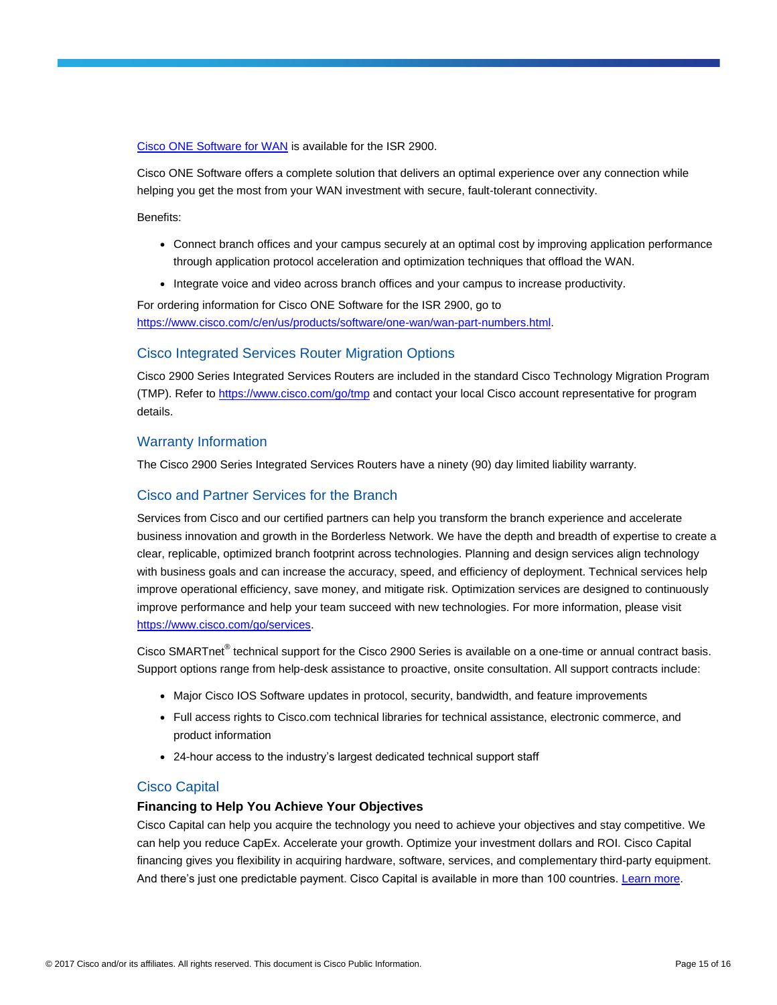[Cisco ONE Software for WAN](https://www.cisco.com/c/en/us/products/collateral/software/one-wan/datasheet-c78-733012.html) is available for the ISR 2900.

Cisco ONE Software offers a complete solution that delivers an optimal experience over any connection while helping you get the most from your WAN investment with secure, fault-tolerant connectivity.

Benefits:

- Connect branch offices and your campus securely at an optimal cost by improving application performance through application protocol acceleration and optimization techniques that offload the WAN.
- Integrate voice and video across branch offices and your campus to increase productivity.

For ordering information for Cisco ONE Software for the ISR 2900, go to [https://www.cisco.com/c/en/us/products/software/one-wan/wan-part-numbers.html.](https://www.cisco.com/c/en/us/products/software/one-wan/wan-part-numbers.html)

#### Cisco Integrated Services Router Migration Options

Cisco 2900 Series Integrated Services Routers are included in the standard Cisco Technology Migration Program (TMP). Refer t[o https://www.cisco.com/go/tmp](https://www.cisco.com/go/tmp) and contact your local Cisco account representative for program details.

#### Warranty Information

The Cisco 2900 Series Integrated Services Routers have a ninety (90) day limited liability warranty.

## Cisco and Partner Services for the Branch

Services from Cisco and our certified partners can help you transform the branch experience and accelerate business innovation and growth in the Borderless Network. We have the depth and breadth of expertise to create a clear, replicable, optimized branch footprint across technologies. Planning and design services align technology with business goals and can increase the accuracy, speed, and efficiency of deployment. Technical services help improve operational efficiency, save money, and mitigate risk. Optimization services are designed to continuously improve performance and help your team succeed with new technologies. For more information, please visit [https://www.cisco.com/go/services.](https://www.cisco.com/go/services)

Cisco SMARTnet<sup>®</sup> technical support for the Cisco 2900 Series is available on a one-time or annual contract basis. Support options range from help-desk assistance to proactive, onsite consultation. All support contracts include:

- Major Cisco IOS Software updates in protocol, security, bandwidth, and feature improvements
- Full access rights to Cisco.com technical libraries for technical assistance, electronic commerce, and product information
- 24-hour access to the industry's largest dedicated technical support staff

#### Cisco Capital

#### **Financing to Help You Achieve Your Objectives**

Cisco Capital can help you acquire the technology you need to achieve your objectives and stay competitive. We can help you reduce CapEx. Accelerate your growth. Optimize your investment dollars and ROI. Cisco Capital financing gives you flexibility in acquiring hardware, software, services, and complementary third-party equipment. And there's just one predictable payment. Cisco Capital is available in more than 100 countries. [Learn more.](https://www.cisco.com/web/ciscocapital/americas/us/index.html)